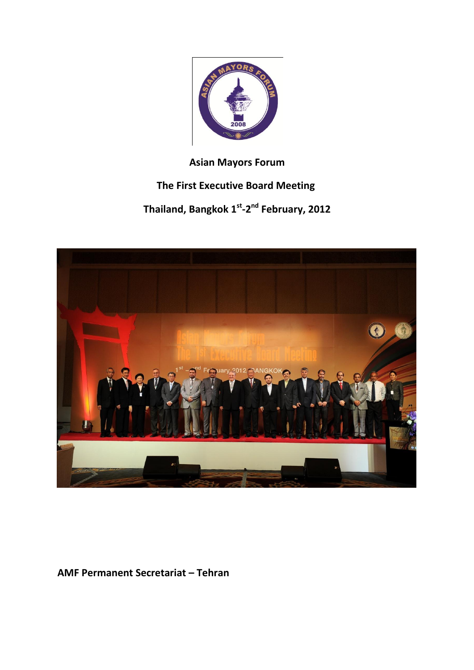

## **Asian Mayors Forum**

# **The First Executive Board Meeting**

**Thailand, Bangkok 1st -2 nd February, 2012**



**AMF Permanent Secretariat – Tehran**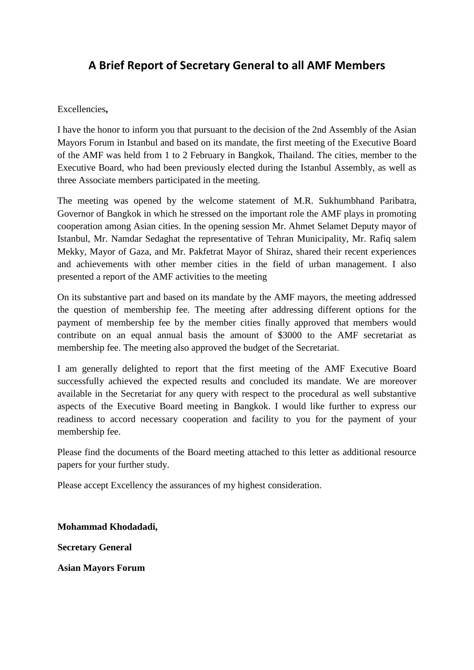## **A Brief Report of Secretary General to all AMF Members**

#### Excellencies**,**

I have the honor to inform you that pursuant to the decision of the 2nd Assembly of the Asian Mayors Forum in Istanbul and based on its mandate, the first meeting of the Executive Board of the AMF was held from 1 to 2 February in Bangkok, Thailand. The cities, member to the Executive Board, who had been previously elected during the Istanbul Assembly, as well as three Associate members participated in the meeting.

The meeting was opened by the welcome statement of M.R. Sukhumbhand Paribatra, Governor of Bangkok in which he stressed on the important role the AMF plays in promoting cooperation among Asian cities. In the opening session Mr. Ahmet Selamet Deputy mayor of Istanbul, Mr. Namdar Sedaghat the representative of Tehran Municipality, Mr. Rafiq salem Mekky, Mayor of Gaza, and Mr. Pakfetrat Mayor of Shiraz, shared their recent experiences and achievements with other member cities in the field of urban management. I also presented a report of the AMF activities to the meeting

On its substantive part and based on its mandate by the AMF mayors, the meeting addressed the question of membership fee. The meeting after addressing different options for the payment of membership fee by the member cities finally approved that members would contribute on an equal annual basis the amount of \$3000 to the AMF secretariat as membership fee. The meeting also approved the budget of the Secretariat.

I am generally delighted to report that the first meeting of the AMF Executive Board successfully achieved the expected results and concluded its mandate. We are moreover available in the Secretariat for any query with respect to the procedural as well substantive aspects of the Executive Board meeting in Bangkok. I would like further to express our readiness to accord necessary cooperation and facility to you for the payment of your membership fee.

Please find the documents of the Board meeting attached to this letter as additional resource papers for your further study.

Please accept Excellency the assurances of my highest consideration.

**Mohammad Khodadadi,**

**Secretary General** 

**Asian Mayors Forum**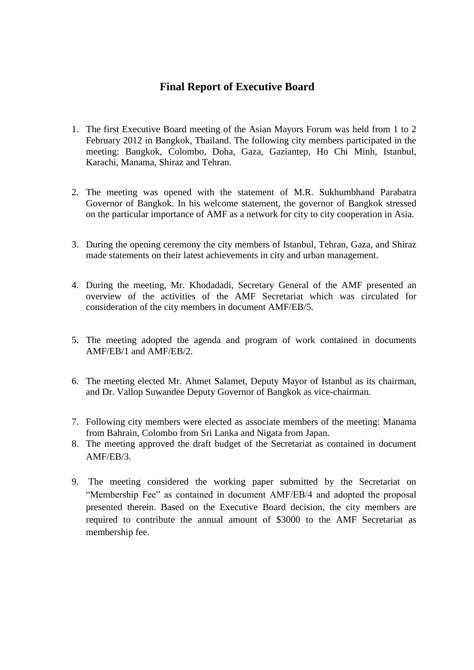### **Final Report of Executive Board**

- 1. The first Executive Board meeting of the Asian Mayors Forum was held from 1 to 2 February 2012 in Bangkok, Thailand. The following city members participated in the meeting: Bangkok, Colombo, Doha, Gaza, Gaziantep, Ho Chi Minh, Istanbul, Karachi, Manama, Shiraz and Tehran.
- 2. The meeting was opened with the statement of M.R. Sukhumbhand Parabatra Governor of Bangkok. In his welcome statement, the governor of Bangkok stressed on the particular importance of AMF as a network for city to city cooperation in Asia.
- 3. During the opening ceremony the city members of Istanbul, Tehran, Gaza, and Shiraz made statements on their latest achievements in city and urban management.
- 4. During the meeting, Mr. Khodadadi, Secretary General of the AMF presented an overview of the activities of the AMF Secretariat which was circulated for consideration of the city members in document AMF/EB/5.
- 5. The meeting adopted the agenda and program of work contained in documents AMF/EB/1 and AMF/EB/2.
- 6. The meeting elected Mr. Ahmet Salamet, Deputy Mayor of Istanbul as its chairman, and Dr. Vallop Suwandee Deputy Governor of Bangkok as vice-chairman.
- 7. Following city members were elected as associate members of the meeting: Manama from Bahrain, Colombo from Sri Lanka and Nigata from Japan.
- 8. The meeting approved the draft budget of the Secretariat as contained in document AMF/EB/3.
- 9. The meeting considered the working paper submitted by the Secretariat on "Membership Fee" as contained in document AMF/EB/4 and adopted the proposal presented therein. Based on the Executive Board decision, the city members are required to contribute the annual amount of \$3000 to the AMF Secretariat as membership fee.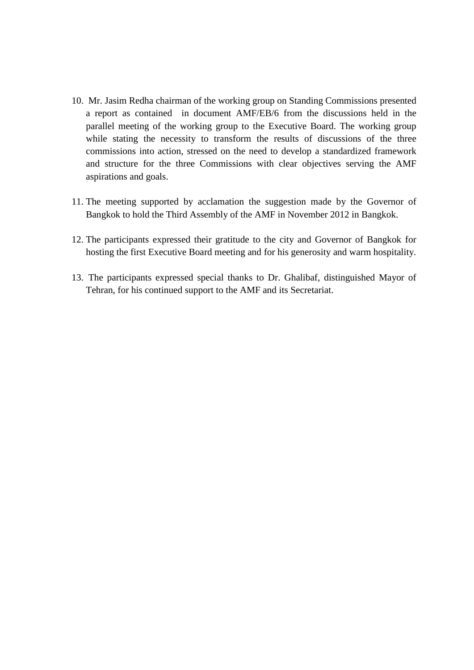- 10. Mr. Jasim Redha chairman of the working group on Standing Commissions presented a report as contained in document AMF/EB/6 from the discussions held in the parallel meeting of the working group to the Executive Board. The working group while stating the necessity to transform the results of discussions of the three commissions into action, stressed on the need to develop a standardized framework and structure for the three Commissions with clear objectives serving the AMF aspirations and goals.
- 11. The meeting supported by acclamation the suggestion made by the Governor of Bangkok to hold the Third Assembly of the AMF in November 2012 in Bangkok.
- 12. The participants expressed their gratitude to the city and Governor of Bangkok for hosting the first Executive Board meeting and for his generosity and warm hospitality.
- 13. The participants expressed special thanks to Dr. Ghalibaf, distinguished Mayor of Tehran, for his continued support to the AMF and its Secretariat.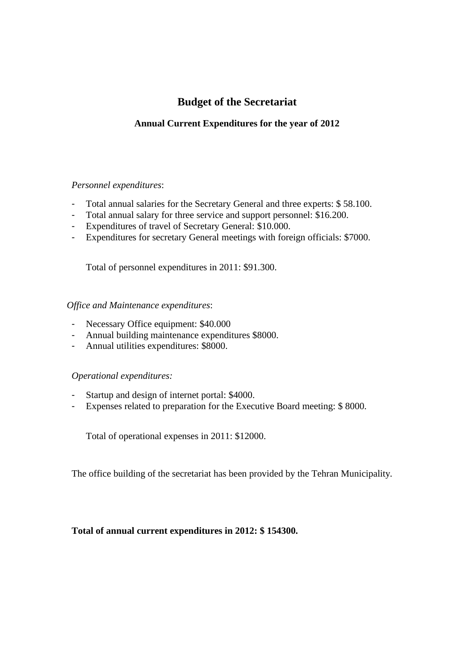## **Budget of the Secretariat**

### **Annual Current Expenditures for the year of 2012**

#### *Personnel expenditures*:

- Total annual salaries for the Secretary General and three experts: \$ 58.100.
- Total annual salary for three service and support personnel: \$16.200.
- Expenditures of travel of Secretary General: \$10.000.
- Expenditures for secretary General meetings with foreign officials: \$7000.

Total of personnel expenditures in 2011: \$91.300.

#### *Office and Maintenance expenditures*:

- Necessary Office equipment: \$40.000
- Annual building maintenance expenditures \$8000.
- Annual utilities expenditures: \$8000.

#### *Operational expenditures:*

- Startup and design of internet portal: \$4000.
- Expenses related to preparation for the Executive Board meeting: \$ 8000.

Total of operational expenses in 2011: \$12000.

The office building of the secretariat has been provided by the Tehran Municipality.

#### **Total of annual current expenditures in 2012: \$ 154300.**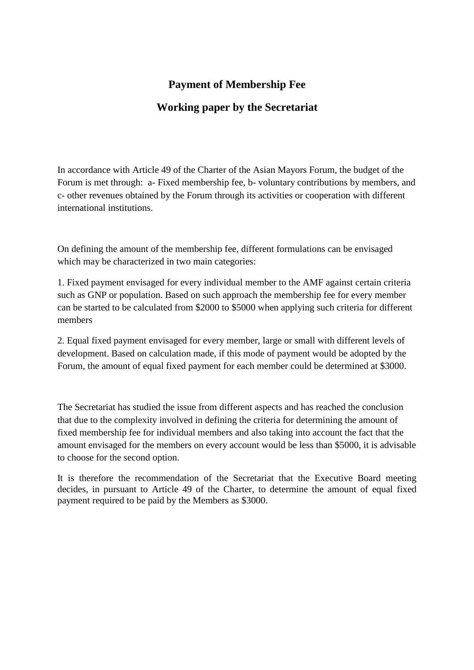### **Payment of Membership Fee**

## **Working paper by the Secretariat**

In accordance with Article 49 of the Charter of the Asian Mayors Forum, the budget of the Forum is met through: a- Fixed membership fee, b- voluntary contributions by members, and c- other revenues obtained by the Forum through its activities or cooperation with different international institutions.

On defining the amount of the membership fee, different formulations can be envisaged which may be characterized in two main categories:

1. Fixed payment envisaged for every individual member to the AMF against certain criteria such as GNP or population. Based on such approach the membership fee for every member can be started to be calculated from \$2000 to \$5000 when applying such criteria for different members

2. Equal fixed payment envisaged for every member, large or small with different levels of development. Based on calculation made, if this mode of payment would be adopted by the Forum, the amount of equal fixed payment for each member could be determined at \$3000.

The Secretariat has studied the issue from different aspects and has reached the conclusion that due to the complexity involved in defining the criteria for determining the amount of fixed membership fee for individual members and also taking into account the fact that the amount envisaged for the members on every account would be less than \$5000, it is advisable to choose for the second option.

It is therefore the recommendation of the Secretariat that the Executive Board meeting decides, in pursuant to Article 49 of the Charter, to determine the amount of equal fixed payment required to be paid by the Members as \$3000.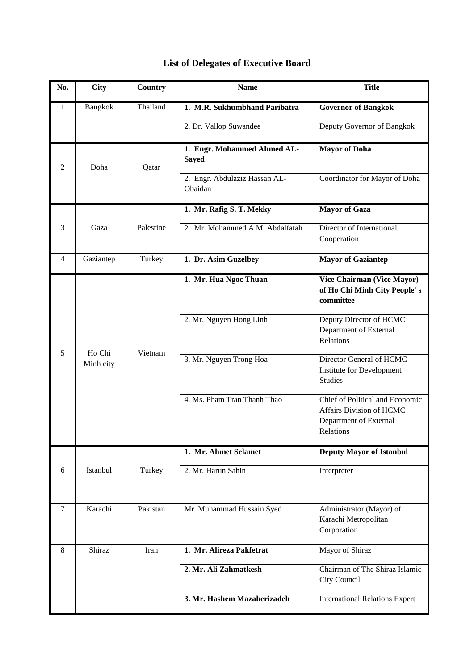| No. | <b>City</b>         | Country   | <b>Name</b>                                 | <b>Title</b>                                                                                              |
|-----|---------------------|-----------|---------------------------------------------|-----------------------------------------------------------------------------------------------------------|
| 1   | <b>Bangkok</b>      | Thailand  | 1. M.R. Sukhumbhand Paribatra               | <b>Governor of Bangkok</b>                                                                                |
|     |                     |           | 2. Dr. Vallop Suwandee                      | Deputy Governor of Bangkok                                                                                |
| 2   | Doha                | Qatar     | 1. Engr. Mohammed Ahmed AL-<br><b>Sayed</b> | <b>Mayor of Doha</b>                                                                                      |
|     |                     |           | 2. Engr. Abdulaziz Hassan AL-<br>Obaidan    | Coordinator for Mayor of Doha                                                                             |
|     |                     |           | 1. Mr. Rafig S. T. Mekky                    | <b>Mayor of Gaza</b>                                                                                      |
| 3   | Gaza                | Palestine | 2. Mr. Mohammed A.M. Abdalfatah             | Director of International<br>Cooperation                                                                  |
| 4   | Gaziantep           | Turkey    | 1. Dr. Asim Guzelbey                        | <b>Mayor of Gaziantep</b>                                                                                 |
| 5   | Ho Chi<br>Minh city | Vietnam   | 1. Mr. Hua Ngoc Thuan                       | Vice Chairman (Vice Mayor)<br>of Ho Chi Minh City People's<br>committee                                   |
|     |                     |           | 2. Mr. Nguyen Hong Linh                     | Deputy Director of HCMC<br>Department of External<br>Relations                                            |
|     |                     |           | 3. Mr. Nguyen Trong Hoa                     | Director General of HCMC<br>Institute for Development<br><b>Studies</b>                                   |
|     |                     |           | 4. Ms. Pham Tran Thanh Thao                 | Chief of Political and Economic<br><b>Affairs Division of HCMC</b><br>Department of External<br>Relations |
|     |                     |           | 1. Mr. Ahmet Selamet                        | <b>Deputy Mayor of Istanbul</b>                                                                           |
| 6   | Istanbul            | Turkey    | 2. Mr. Harun Sahin                          | Interpreter                                                                                               |
| 7   | Karachi             | Pakistan  | Mr. Muhammad Hussain Syed                   | Administrator (Mayor) of<br>Karachi Metropolitan<br>Corporation                                           |
| 8   | Shiraz              | Iran      | 1. Mr. Alireza Pakfetrat                    | Mayor of Shiraz                                                                                           |
|     |                     |           | 2. Mr. Ali Zahmatkesh                       | Chairman of The Shiraz Islamic<br>City Council                                                            |
|     |                     |           | 3. Mr. Hashem Mazaherizadeh                 | <b>International Relations Expert</b>                                                                     |

## **List of Delegates of Executive Board**